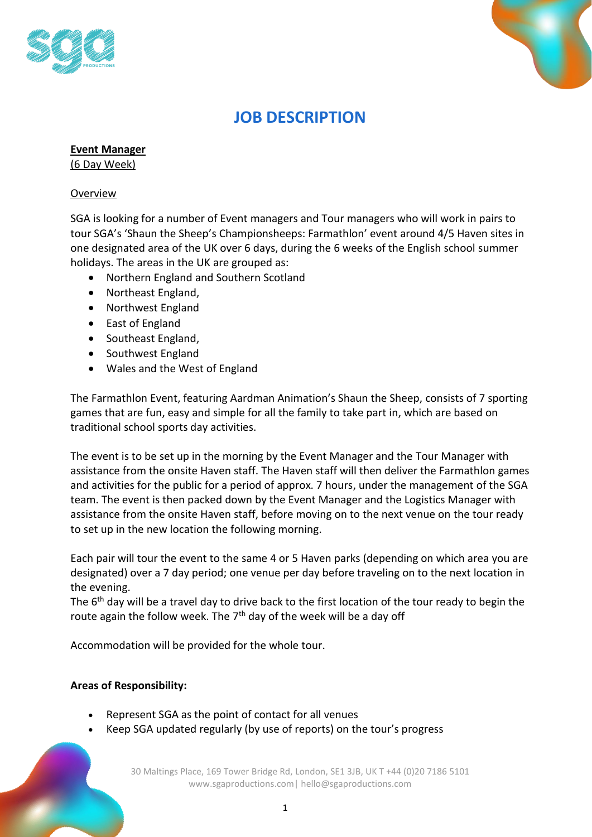



# **JOB DESCRIPTION**

**Event Manager**

(6 Day Week)

## Overview

SGA is looking for a number of Event managers and Tour managers who will work in pairs to tour SGA's 'Shaun the Sheep's Championsheeps: Farmathlon' event around 4/5 Haven sites in one designated area of the UK over 6 days, during the 6 weeks of the English school summer holidays. The areas in the UK are grouped as:

- Northern England and Southern Scotland
- Northeast England,
- Northwest England
- East of England
- Southeast England,
- Southwest England
- Wales and the West of England

The Farmathlon Event, featuring Aardman Animation's Shaun the Sheep, consists of 7 sporting games that are fun, easy and simple for all the family to take part in, which are based on traditional school sports day activities.

The event is to be set up in the morning by the Event Manager and the Tour Manager with assistance from the onsite Haven staff. The Haven staff will then deliver the Farmathlon games and activities for the public for a period of approx. 7 hours, under the management of the SGA team. The event is then packed down by the Event Manager and the Logistics Manager with assistance from the onsite Haven staff, before moving on to the next venue on the tour ready to set up in the new location the following morning.

Each pair will tour the event to the same 4 or 5 Haven parks (depending on which area you are designated) over a 7 day period; one venue per day before traveling on to the next location in the evening.

The 6<sup>th</sup> day will be a travel day to drive back to the first location of the tour ready to begin the route again the follow week. The  $7<sup>th</sup>$  day of the week will be a day off

Accommodation will be provided for the whole tour.

## **Areas of Responsibility:**

- Represent SGA as the point of contact for all venues
- Keep SGA updated regularly (by use of reports) on the tour's progress

30 Maltings Place, 169 Tower Bridge Rd, London, SE1 3JB, UK T +44 (0)20 7186 5101 www.sgaproductions.com| hello@sgaproductions.com